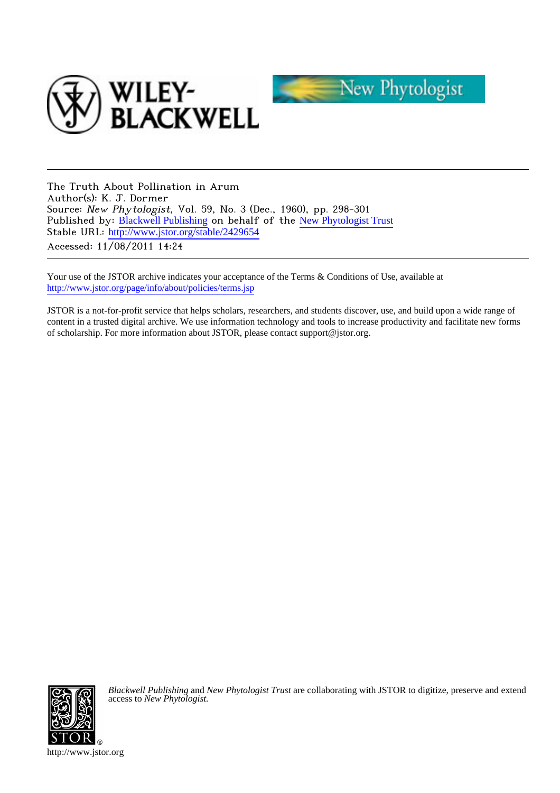



The Truth About Pollination in Arum Author(s): K. J. Dormer Source: New Phytologist, Vol. 59, No. 3 (Dec., 1960), pp. 298-301 Published by: [Blackwell Publishing](http://www.jstor.org/action/showPublisher?publisherCode=black) on behalf of the [New Phytologist Trust](http://www.jstor.org/action/showPublisher?publisherCode=npt) Stable URL: [http://www.jstor.org/stable/2429654](http://www.jstor.org/stable/2429654?origin=JSTOR-pdf) Accessed: 11/08/2011 14:24

Your use of the JSTOR archive indicates your acceptance of the Terms & Conditions of Use, available at <http://www.jstor.org/page/info/about/policies/terms.jsp>

JSTOR is a not-for-profit service that helps scholars, researchers, and students discover, use, and build upon a wide range of content in a trusted digital archive. We use information technology and tools to increase productivity and facilitate new forms of scholarship. For more information about JSTOR, please contact support@jstor.org.



*Blackwell Publishing* and *New Phytologist Trust* are collaborating with JSTOR to digitize, preserve and extend access to *New Phytologist.*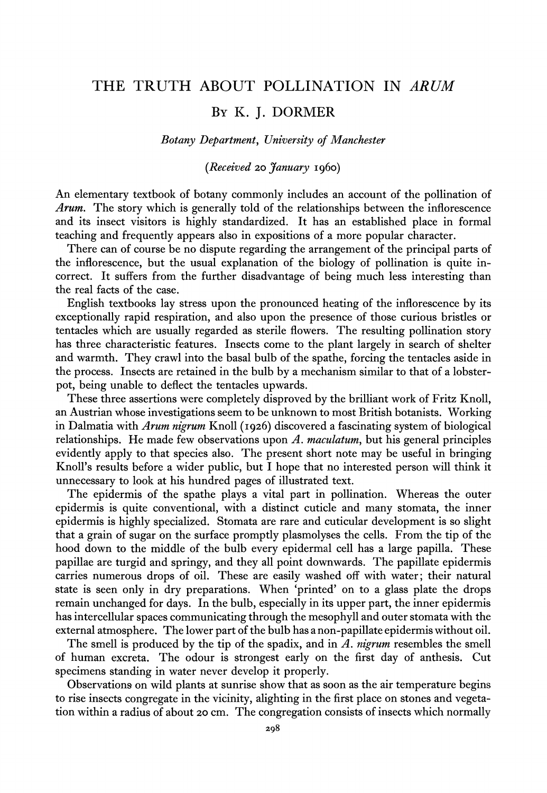# THE TRUTH ABOUT POLLINATION IN ARUM

## BY K. J. DORMER

Botany Department, University of Manchester

(Received 20 January 1960)

An elementary textbook of botany commonly includes an account of the pollination of Arum. The story which is generally told of the relationships between the inflorescence and its insect visitors is highly standardized. It has an established place in formal teaching and frequently appears also in expositions of a more popular character.

There can of course be no dispute regarding the arrangement of the principal parts of the inflorescence, but the usual explanation of the biology of pollination is quite incorrect. It suffers from the further disadvantage of being much less interesting than the real facts of the case.

English textbooks lay stress upon the pronounced heating of the inflorescence by its exceptionally rapid respiration, and also upon the presence of those curious bristles or tentacles which are usually regarded as sterile flowers. The resulting pollination story has three characteristic features. Insects come to the plant largely in search of shelter and warmth. They crawl into the basal bulb of the spathe, forcing the tentacles aside in the process. Insects are retained in the bulb by a mechanism similar to that of a lobsterpot, being unable to deflect the tentacles upwards.

These three assertions were completely disproved by the brilliant work of Fritz Knoll, an Austrian whose investigations seem to be unknown to most British botanists. Working in Dalmatia with Arum nigrum Knoll (1926) discovered a fascinating system of biological relationships. He made few observations upon  $A$ . maculatum, but his general principles evidently apply to that species also. The present short note may be useful in bringing Knoll's results before a wider public, but I hope that no interested person will think it unnecessary to look at his hundred pages of illustrated text.

The epidermis of the spathe plays a vital part in pollination. Whereas the outer epidermis is quite conventional, with a distinct cuticle and many stomata, the inner epidermis is highly specialized. Stomata are rare and cuticular development is so slight that a grain of sugar on the surface promptly plasmolyses the cells. From the tip of the hood down to the middle of the bulb every epidermal cell has a large papilla. These papillae are turgid and springy, and they all point downwards. The papillate epidermis carries numerous drops of oil. These are easily washed off with water; their natural state is seen only in dry preparations. When 'printed' on to a glass plate the drops remain unchanged for days. In the bulb, especially in its upper part, the inner epidermis has intercellular spaces communicating through the mesophyll and outer stomata with the external atmosphere. The lower part of the bulb has a non-papillate epidermis without oil.

The smell is produced by the tip of the spadix, and in A. nigrum resembles the smell of human excreta. The odour is strongest early on the first day of anthesis. Cut specimens standing in water never develop it properly.

Observations on wild plants at sunrise show that as soon as the air temperature begins to rise insects congregate in the vicinity, alighting in the first place on stones and vegetation within a radius of about 20 cm. The congregation consists of insects which normally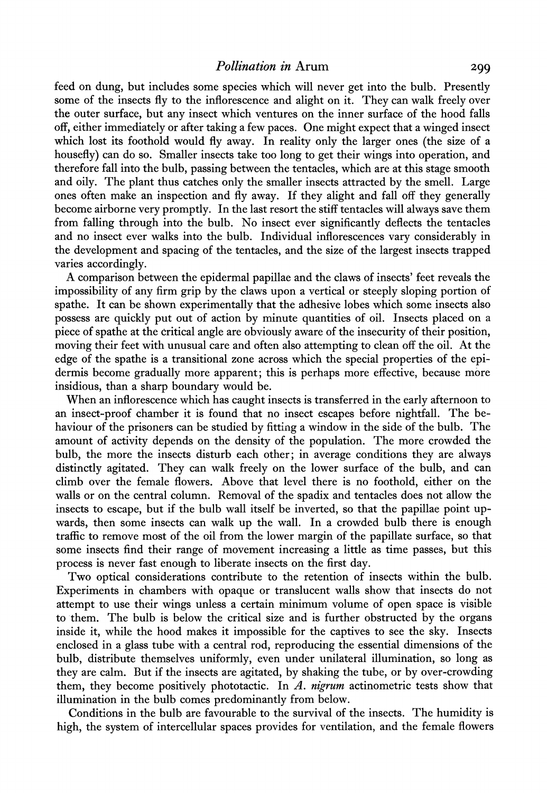## Pollination in Arum 299

feed on dung, but includes some species which will never get into the bulb. Presently some of the insects fly to the inflorescence and alight on it. They can walk freely over the outer surface, but any insect which ventures on the inner surface of the hood falls off, either immediately or after taking a few paces. One might expect that a winged insect which lost its foothold would fly away. In reality only the larger ones (the size of a housefly) can do so. Smaller insects take too long to get their wings into operation, and therefore fall into the bulb, passing between the tentacles, which are at this stage smooth and oily. The plant thus catches only the smaller insects attracted by the smell. Large ones often make an inspection and fly away. If they alight and fall off they generally become airborne very promptly. In the last resort the stiff tentacles will always save them from falling through into the bulb. No insect ever significantly deflects the tentacles and no insect ever walks into the bulb. Individual inflorescences vary considerably in the development and spacing of the tentacles, and the size of the largest insects trapped varies accordingly.

A comparison between the epidermal papillae and the claws of insects' feet reveals the impossibility of any firm grip by the claws upon a vertical or steeply sloping portion of spathe. It can be shown experimentally that the adhesive lobes which some insects also possess are quickly put out of action by minute quantities of oil. Insects placed on a piece of spathe at the critical angle are obviously aware of the insecurity of their position, moving their feet with unusual care and often also attempting to clean off the oil. At the edge of the spathe is a transitional zone across which the special properties of the epidermis become gradually more apparent; this is perhaps more effective, because more insidious, than a sharp boundary would be.

When an inflorescence which has caught insects is transferred in the early afternoon to an insect-proof chamber it is found that no insect escapes before nightfall. The behaviour of the prisoners can be studied by fitting a window in the side of the bulb. The amount of activity depends on the density of the population. The more crowded the bulb, the more the insects disturb each other; in average conditions they are always distinctly agitated. They can walk freely on the lower surface of the bulb, and can climb over the female flowers. Above that level there is no foothold, either on the walls or on the central column. Removal of the spadix and tentacles does not allow the insects to escape, but if the bulb wall itself be inverted, so that the papillae point upwards, then some insects can walk up the wall. In a crowded bulb there is enough traffic to remove most of the oil from the lower margin of the papillate surface, so that some insects find their range of movement increasing a little as time passes, but this process is never fast enough to liberate insects on the first day.

Two optical considerations contribute to the retention of insects within the bulb. Experiments in chambers with opaque or translucent walls show that insects do not attempt to use their wings unless a certain minimum volume of open space is visible to them. The bulb is below the critical size and is further obstructed by the organs inside it, while the hood makes it impossible for the captives to see the sky. Insects enclosed in a glass tube with a central rod, reproducing the essential dimensions of the bulb, distribute themselves uniformly, even under unilateral illumination, so long as they are calm. But if the insects are agitated, by shaking the tube, or by over-crowding them, they become positively phototactic. In  $A$ . nigrum actinometric tests show that illumination in the bulb comes predominantly from below.

Conditions in the bulb are favourable to the survival of the insects. The humidity is high, the system of intercellular spaces provides for ventilation, and the female flowers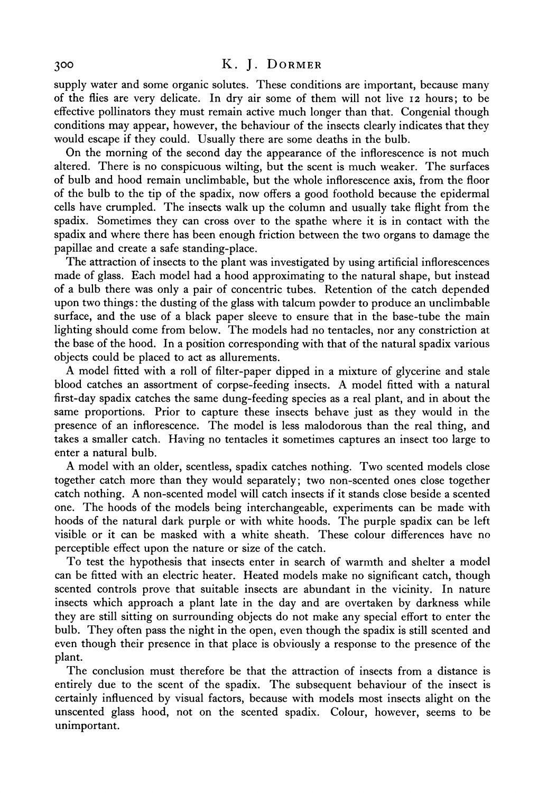#### 300 K. J. DORMER

supply water and some organic solutes. These conditions are important, because many of the flies are very delicate. In dry air some of them will not live  $12$  hours; to be effective pollinators they must remain active much longer than that. Congenial though conditions may appear, however, the behaviour of the insects clearly indicates that they would escape if they could. Usually there are some deaths in the bulb.

On the morning of the second day the appearance of the inflorescence is not much altered. There is no conspicuous wilting, but the scent is much weaker. The surfaces of bulb and hood remain unclimbable, but the whole inflorescence axis, from the floor of the bulb to the tip of the spadix, now offers a good foothold because the epidermal cells have crumpled. The insects walk up the column and usually take flight from the spadix. Sometimes they can cross over to the spathe where it is in contact with the spadix and where there has been enough friction between the two organs to damage the papillae and create a safe standing-place.

The attraction of insects to the plant was investigated by using artificial inflorescences made of glass. Each model had a hood approximating to the natural shape, but instead of a bulb there was only a pair of concentric tubes. Retention of the catch depended upon two things: the dusting of the glass with talcum powder to produce an unclimbable surface, and the use of a black paper sleeve to ensure that in the base-tube the main lighting should come from below. The models had no tentacles, nor any constriction at the base of the hood. In a position corresponding with that of the natural spadix various objects could be placed to act as allurements.

A model fitted with a roll of filter-paper dipped in a mixture of glycerine and stale blood catches an assortment of corpse-feeding insects. A model fitted with a natural first-day spadix catches the same dung-feeding species as a real plant, and in about the same proportions. Prior to capture these insects behave just as they would in the presence of an inflorescence. The model is less malodorous than the real thing, and takes a smaller catch. Having no tentacles it sometimes captures an insect too large to enter a natural bulb.

A model with an older, scentless, spadix catches nothing. Two scented models close together catch more than they would separately; two non-scented ones close together catch nothing. A non-scented model will catch insects if it stands close beside a scented one. The hoods of the models being interchangeable, experiments can be made with hoods of the natural dark purple or with white hoods. The purple spadix can be left visible or it can be masked with a white sheath. These colour differences have no perceptible effect upon the nature or size of the catch.

To test the hypothesis that insects enter in search of warmth and shelter a model can be fitted with an electric heater. Heated models make no significant catch, though scented controls prove that suitable insects are abundant in the vicinity. In nature insects which approach a plant late in the day and are overtaken by darkness while they are still sitting on surrounding objects do not make any special effort to enter the bulb. They often pass the night in the open, even though the spadix is still scented and even though their presence in that place is obviously a response to the presence of the plant.

The conclusion must therefore be that the attraction of insects from a distance is entirely due to the scent of the spadix. The subsequent behaviour of the insect is certainly influenced by visual factors, because with models most insects alight on the unscented glass hood, not on the scented spadix. Colour, however, seems to be unimportant.